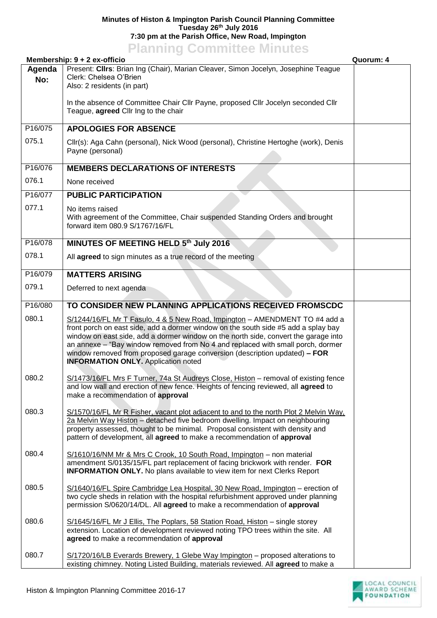## **Minutes of Histon & Impington Parish Council Planning Committee Tuesday 26th July 2016 7:30 pm at the Parish Office, New Road, Impington**

## **Planning Committee Minutes**

|               | Membership: 9 + 2 ex-officio                                                                                                                                                                                                                                                                                                                                                                                                                                            | Quorum: 4 |
|---------------|-------------------------------------------------------------------------------------------------------------------------------------------------------------------------------------------------------------------------------------------------------------------------------------------------------------------------------------------------------------------------------------------------------------------------------------------------------------------------|-----------|
| Agenda<br>No: | Present: Clirs: Brian Ing (Chair), Marian Cleaver, Simon Jocelyn, Josephine Teague<br>Clerk: Chelsea O'Brien<br>Also: 2 residents (in part)                                                                                                                                                                                                                                                                                                                             |           |
|               | In the absence of Committee Chair Cllr Payne, proposed Cllr Jocelyn seconded Cllr<br>Teague, agreed Cllr Ing to the chair                                                                                                                                                                                                                                                                                                                                               |           |
| P16/075       | <b>APOLOGIES FOR ABSENCE</b>                                                                                                                                                                                                                                                                                                                                                                                                                                            |           |
| 075.1         | Cllr(s): Aga Cahn (personal), Nick Wood (personal), Christine Hertoghe (work), Denis<br>Payne (personal)                                                                                                                                                                                                                                                                                                                                                                |           |
| P16/076       | <b>MEMBERS DECLARATIONS OF INTERESTS</b>                                                                                                                                                                                                                                                                                                                                                                                                                                |           |
| 076.1         | None received                                                                                                                                                                                                                                                                                                                                                                                                                                                           |           |
| P16/077       | <b>PUBLIC PARTICIPATION</b>                                                                                                                                                                                                                                                                                                                                                                                                                                             |           |
| 077.1         | No items raised<br>With agreement of the Committee, Chair suspended Standing Orders and brought<br>forward item 080.9 S/1767/16/FL                                                                                                                                                                                                                                                                                                                                      |           |
| P16/078       | MINUTES OF MEETING HELD 5th July 2016                                                                                                                                                                                                                                                                                                                                                                                                                                   |           |
| 078.1         | All agreed to sign minutes as a true record of the meeting                                                                                                                                                                                                                                                                                                                                                                                                              |           |
| P16/079       | <b>MATTERS ARISING</b>                                                                                                                                                                                                                                                                                                                                                                                                                                                  |           |
| 079.1         | Deferred to next agenda                                                                                                                                                                                                                                                                                                                                                                                                                                                 |           |
| P16/080       | TO CONSIDER NEW PLANNING APPLICATIONS RECEIVED FROMSCDC                                                                                                                                                                                                                                                                                                                                                                                                                 |           |
| 080.1         | S/1244/16/FL Mr T Fasulo, 4 & 5 New Road, Impington - AMENDMENT TO #4 add a<br>front porch on east side, add a dormer window on the south side #5 add a splay bay<br>window on east side, add a dormer window on the north side, convert the garage into<br>an annexe - "Bay window removed from No 4 and replaced with small porch, dormer<br>window removed from proposed garage conversion (description updated) - FOR<br><b>INFORMATION ONLY.</b> Application noted |           |
| 080.2         | S/1473/16/FL Mrs F Turner, 74a St Audreys Close, Histon - removal of existing fence<br>and low wall and erection of new fence. Heights of fencing reviewed, all agreed to<br>make a recommendation of approval                                                                                                                                                                                                                                                          |           |
| 080.3         | S/1570/16/FL Mr R Fisher, vacant plot adjacent to and to the north Plot 2 Melvin Way,<br>2a Melvin Way Histon - detached five bedroom dwelling. Impact on neighbouring<br>property assessed, thought to be minimal. Proposal consistent with density and<br>pattern of development, all agreed to make a recommendation of approval                                                                                                                                     |           |
| 080.4         | S/1610/16/NM Mr & Mrs C Crook, 10 South Road, Impington - non material<br>amendment S/0135/15/FL part replacement of facing brickwork with render. FOR<br><b>INFORMATION ONLY.</b> No plans available to view item for next Clerks Report                                                                                                                                                                                                                               |           |
| 080.5         | S/1640/16/FL Spire Cambridge Lea Hospital, 30 New Road, Impington - erection of<br>two cycle sheds in relation with the hospital refurbishment approved under planning<br>permission S/0620/14/DL. All agreed to make a recommendation of approval                                                                                                                                                                                                                      |           |
| 080.6         | S/1645/16/FL Mr J Ellis, The Poplars, 58 Station Road, Histon - single storey<br>extension. Location of development reviewed noting TPO trees within the site. All<br>agreed to make a recommendation of approval                                                                                                                                                                                                                                                       |           |
| 080.7         | S/1720/16/LB Everards Brewery, 1 Glebe Way Impington - proposed alterations to<br>existing chimney. Noting Listed Building, materials reviewed. All agreed to make a                                                                                                                                                                                                                                                                                                    |           |